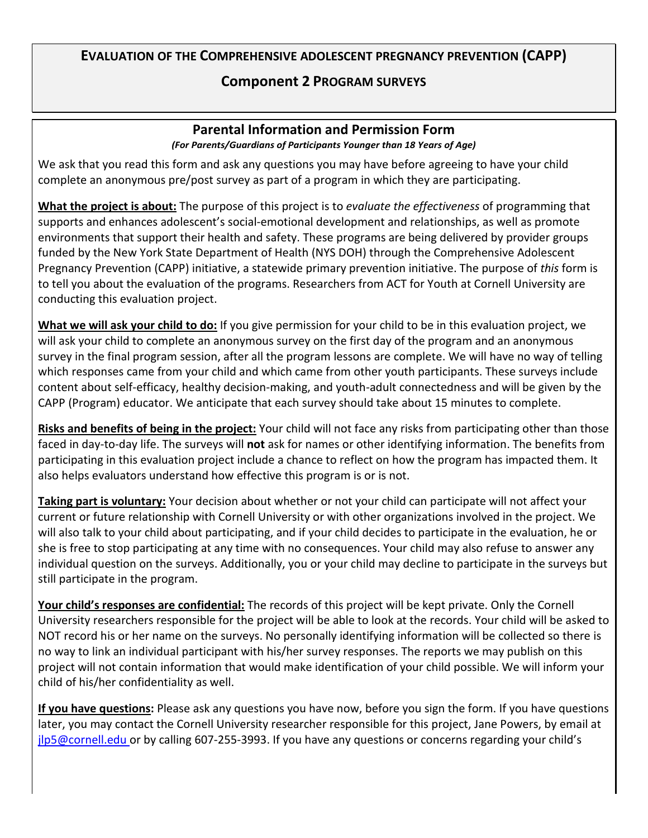## **EVALUATION OF THE COMPREHENSIVE ADOLESCENT PREGNANCY PREVENTION (CAPP)**

## **Component 2 PROGRAM SURVEYS**

## **Parental Information and Permission Form** *(For Parents/Guardians of Participants Younger than 18 Years of Age)*

We ask that you read this form and ask any questions you may have before agreeing to have your child complete an anonymous pre/post survey as part of a program in which they are participating.

**What the project is about:** The purpose of this project is to *evaluate the effectiveness* of programming that supports and enhances adolescent's social-emotional development and relationships, as well as promote environments that support their health and safety. These programs are being delivered by provider groups funded by the New York State Department of Health (NYS DOH) through the Comprehensive Adolescent Pregnancy Prevention (CAPP) initiative, a statewide primary prevention initiative. The purpose of *this* form is to tell you about the evaluation of the programs. Researchers from ACT for Youth at Cornell University are conducting this evaluation project.

**What we will ask your child to do:** If you give permission for your child to be in this evaluation project, we will ask your child to complete an anonymous survey on the first day of the program and an anonymous survey in the final program session, after all the program lessons are complete. We will have no way of telling which responses came from your child and which came from other youth participants. These surveys include content about self-efficacy, healthy decision-making, and youth-adult connectedness and will be given by the CAPP (Program) educator. We anticipate that each survey should take about 15 minutes to complete.

**Risks and benefits of being in the project:** Your child will not face any risks from participating other than those faced in day-to-day life. The surveys will **not** ask for names or other identifying information. The benefits from participating in this evaluation project include a chance to reflect on how the program has impacted them. It also helps evaluators understand how effective this program is or is not.

**Taking part is voluntary:** Your decision about whether or not your child can participate will not affect your current or future relationship with Cornell University or with other organizations involved in the project. We will also talk to your child about participating, and if your child decides to participate in the evaluation, he or she is free to stop participating at any time with no consequences. Your child may also refuse to answer any individual question on the surveys. Additionally, you or your child may decline to participate in the surveys but still participate in the program.

**Your child's responses are confidential:** The records of this project will be kept private. Only the Cornell University researchers responsible for the project will be able to look at the records. Your child will be asked to NOT record his or her name on the surveys. No personally identifying information will be collected so there is no way to link an individual participant with his/her survey responses. The reports we may publish on this project will not contain information that would make identification of your child possible. We will inform your child of his/her confidentiality as well.

**If you have questions:** Please ask any questions you have now, before you sign the form. If you have questions later, you may contact the Cornell University researcher responsible for this project, Jane Powers, by email at [jlp5@cornell.edu o](mailto:jlp5@cornell.edu)r by calling 607-255-3993. If you have any questions or concerns regarding your child's